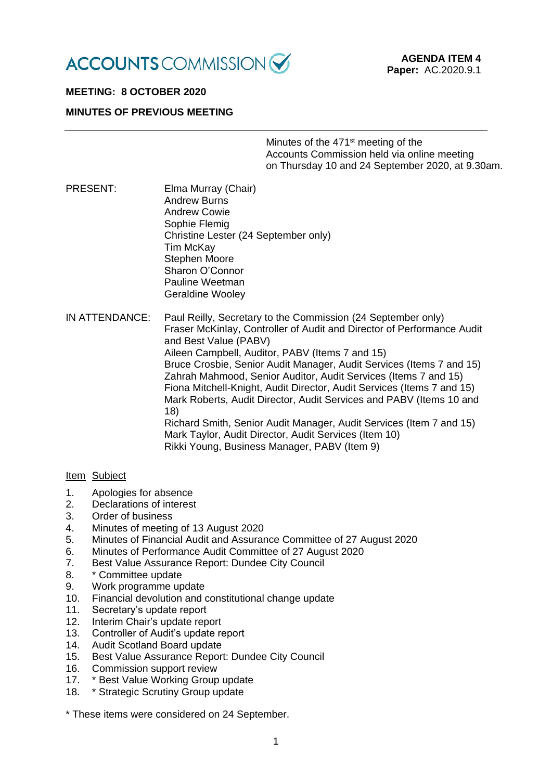

# **MEETING: 8 OCTOBER 2020**

# **MINUTES OF PREVIOUS MEETING**

Minutes of the 471st meeting of the Accounts Commission held via online meeting on Thursday 10 and 24 September 2020, at 9.30am.

PRESENT: Elma Murray (Chair) Andrew Burns Andrew Cowie Sophie Flemig Christine Lester (24 September only) Tim McKay Stephen Moore Sharon O'Connor Pauline Weetman Geraldine Wooley

IN ATTENDANCE: Paul Reilly, Secretary to the Commission (24 September only) Fraser McKinlay, Controller of Audit and Director of Performance Audit and Best Value (PABV) Aileen Campbell, Auditor, PABV (Items 7 and 15) Bruce Crosbie, Senior Audit Manager, Audit Services (Items 7 and 15) Zahrah Mahmood, Senior Auditor, Audit Services (Items 7 and 15) Fiona Mitchell-Knight, Audit Director, Audit Services (Items 7 and 15) Mark Roberts, Audit Director, Audit Services and PABV (Items 10 and 18) Richard Smith, Senior Audit Manager, Audit Services (Item 7 and 15) Mark Taylor, Audit Director, Audit Services (Item 10) Rikki Young, Business Manager, PABV (Item 9)

### Item Subject

- 1. Apologies for absence
- 2. Declarations of interest
- 3. Order of business
- 4. Minutes of meeting of 13 August 2020
- 5. Minutes of Financial Audit and Assurance Committee of 27 August 2020
- 6. Minutes of Performance Audit Committee of 27 August 2020
- 7. Best Value Assurance Report: Dundee City Council
- 8. \* Committee update
- 9. Work programme update
- 10. Financial devolution and constitutional change update
- 11. Secretary's update report
- 12. Interim Chair's update report
- 13. Controller of Audit's update report
- 14. Audit Scotland Board update
- 15. Best Value Assurance Report: Dundee City Council
- 16. Commission support review
- 17. \* Best Value Working Group update
- 18. \* Strategic Scrutiny Group update

\* These items were considered on 24 September.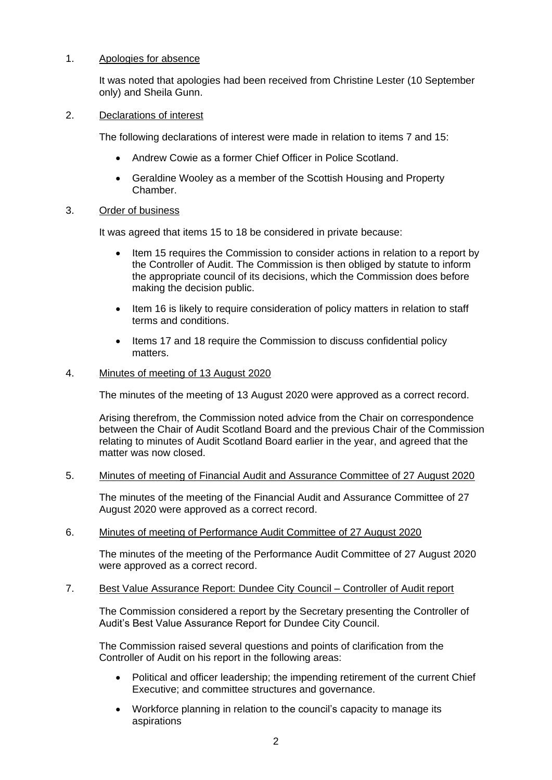## 1. Apologies for absence

It was noted that apologies had been received from Christine Lester (10 September only) and Sheila Gunn.

### 2. Declarations of interest

The following declarations of interest were made in relation to items 7 and 15:

- Andrew Cowie as a former Chief Officer in Police Scotland.
- Geraldine Wooley as a member of the Scottish Housing and Property Chamber.

## 3. Order of business

It was agreed that items 15 to 18 be considered in private because:

- Item 15 requires the Commission to consider actions in relation to a report by the Controller of Audit. The Commission is then obliged by statute to inform the appropriate council of its decisions, which the Commission does before making the decision public.
- Item 16 is likely to require consideration of policy matters in relation to staff terms and conditions.
- Items 17 and 18 require the Commission to discuss confidential policy matters.

## 4. Minutes of meeting of 13 August 2020

The minutes of the meeting of 13 August 2020 were approved as a correct record.

Arising therefrom, the Commission noted advice from the Chair on correspondence between the Chair of Audit Scotland Board and the previous Chair of the Commission relating to minutes of Audit Scotland Board earlier in the year, and agreed that the matter was now closed.

### 5. Minutes of meeting of Financial Audit and Assurance Committee of 27 August 2020

The minutes of the meeting of the Financial Audit and Assurance Committee of 27 August 2020 were approved as a correct record.

# 6. Minutes of meeting of Performance Audit Committee of 27 August 2020

The minutes of the meeting of the Performance Audit Committee of 27 August 2020 were approved as a correct record.

### 7. Best Value Assurance Report: Dundee City Council – Controller of Audit report

The Commission considered a report by the Secretary presenting the Controller of Audit's Best Value Assurance Report for Dundee City Council.

The Commission raised several questions and points of clarification from the Controller of Audit on his report in the following areas:

- Political and officer leadership; the impending retirement of the current Chief Executive; and committee structures and governance.
- • Workforce planning in relation to the council's capacity to manage its aspirations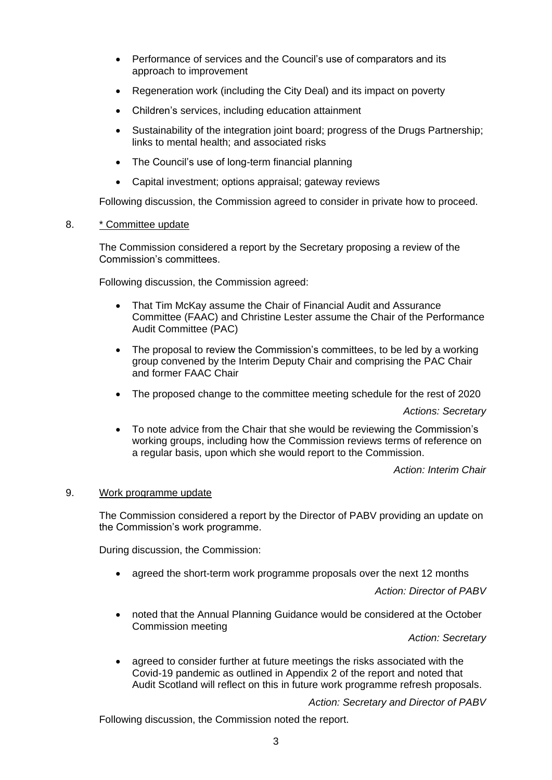- Performance of services and the Council's use of comparators and its approach to improvement
- Regeneration work (including the City Deal) and its impact on poverty
- Children's services, including education attainment
- Sustainability of the integration joint board; progress of the Drugs Partnership; links to mental health; and associated risks
- The Council's use of long-term financial planning
- Capital investment; options appraisal; gateway reviews

Following discussion, the Commission agreed to consider in private how to proceed.

# 8. \* Committee update

The Commission considered a report by the Secretary proposing a review of the Commission's committees.

Following discussion, the Commission agreed:

- That Tim McKay assume the Chair of Financial Audit and Assurance Committee (FAAC) and Christine Lester assume the Chair of the Performance Audit Committee (PAC)
- The proposal to review the Commission's committees, to be led by a working group convened by the Interim Deputy Chair and comprising the PAC Chair and former FAAC Chair
- The proposed change to the committee meeting schedule for the rest of 2020

*Actions: Secretary* 

• To note advice from the Chair that she would be reviewing the Commission's working groups, including how the Commission reviews terms of reference on a regular basis, upon which she would report to the Commission.

*Action: Interim Chair* 

# 9. Work programme update

The Commission considered a report by the Director of PABV providing an update on the Commission's work programme.

During discussion, the Commission:

• agreed the short-term work programme proposals over the next 12 months

*Action: Director of PABV* 

• noted that the Annual Planning Guidance would be considered at the October Commission meeting

*Action: Secretary* 

• agreed to consider further at future meetings the risks associated with the Covid-19 pandemic as outlined in Appendix 2 of the report and noted that Audit Scotland will reflect on this in future work programme refresh proposals.

*Action: Secretary and Director of PABV* 

Following discussion, the Commission noted the report.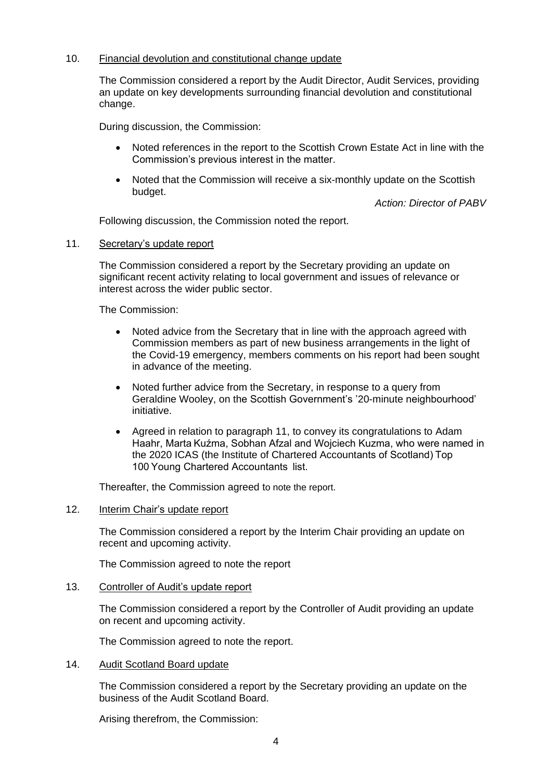## 10. Financial devolution and constitutional change update

The Commission considered a report by the Audit Director, Audit Services, providing an update on key developments surrounding financial devolution and constitutional change.

During discussion, the Commission:

- Noted references in the report to the Scottish Crown Estate Act in line with the Commission's previous interest in the matter.
- Noted that the Commission will receive a six-monthly update on the Scottish budget.

*Action: Director of PABV* 

Following discussion, the Commission noted the report.

### 11. Secretary's update report

The Commission considered a report by the Secretary providing an update on significant recent activity relating to local government and issues of relevance or interest across the wider public sector.

The Commission:

- Noted advice from the Secretary that in line with the approach agreed with Commission members as part of new business arrangements in the light of the Covid-19 emergency, members comments on his report had been sought in advance of the meeting.
- Noted further advice from the Secretary, in response to a query from Geraldine Wooley, on the Scottish Government's '20-minute neighbourhood' initiative.
- • Agreed in relation to paragraph 11, to convey its congratulations to Adam Haahr, Marta Kuźma, Sobhan Afzal and Wojciech Kuzma, who were named in the 2020 ICAS (the Institute of Chartered Accountants of Scotland) Top 100 Young Chartered Accountants  list.

Thereafter, the Commission agreed to note the report.

### 12. Interim Chair's update report

The Commission considered a report by the Interim Chair providing an update on recent and upcoming activity.

The Commission agreed to note the report

### 13. Controller of Audit's update report

The Commission considered a report by the Controller of Audit providing an update on recent and upcoming activity.

The Commission agreed to note the report.

# 14. Audit Scotland Board update

The Commission considered a report by the Secretary providing an update on the business of the Audit Scotland Board.

Arising therefrom, the Commission: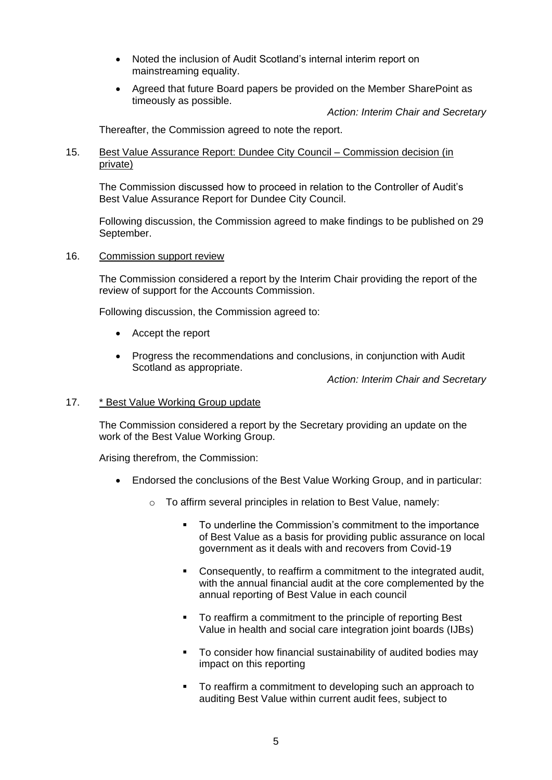- Noted the inclusion of Audit Scotland's internal interim report on mainstreaming equality.
- Agreed that future Board papers be provided on the Member SharePoint as timeously as possible.

*Action: Interim Chair and Secretary* 

Thereafter, the Commission agreed to note the report.

## 15. Best Value Assurance Report: Dundee City Council – Commission decision (in private)

The Commission discussed how to proceed in relation to the Controller of Audit's Best Value Assurance Report for Dundee City Council.

Following discussion, the Commission agreed to make findings to be published on 29 September.

### 16. Commission support review

The Commission considered a report by the Interim Chair providing the report of the review of support for the Accounts Commission.

Following discussion, the Commission agreed to:

- Accept the report
- Progress the recommendations and conclusions, in conjunction with Audit Scotland as appropriate.

*Action: Interim Chair and Secretary* 

## 17. \* Best Value Working Group update

The Commission considered a report by the Secretary providing an update on the work of the Best Value Working Group.

Arising therefrom, the Commission:

- Endorsed the conclusions of the Best Value Working Group, and in particular:
	- o To affirm several principles in relation to Best Value, namely:
		- To underline the Commission's commitment to the importance of Best Value as a basis for providing public assurance on local government as it deals with and recovers from Covid-19
		- Consequently, to reaffirm a commitment to the integrated audit, with the annual financial audit at the core complemented by the annual reporting of Best Value in each council
		- To reaffirm a commitment to the principle of reporting Best Value in health and social care integration joint boards (IJBs)
		- To consider how financial sustainability of audited bodies may impact on this reporting
		- To reaffirm a commitment to developing such an approach to auditing Best Value within current audit fees, subject to